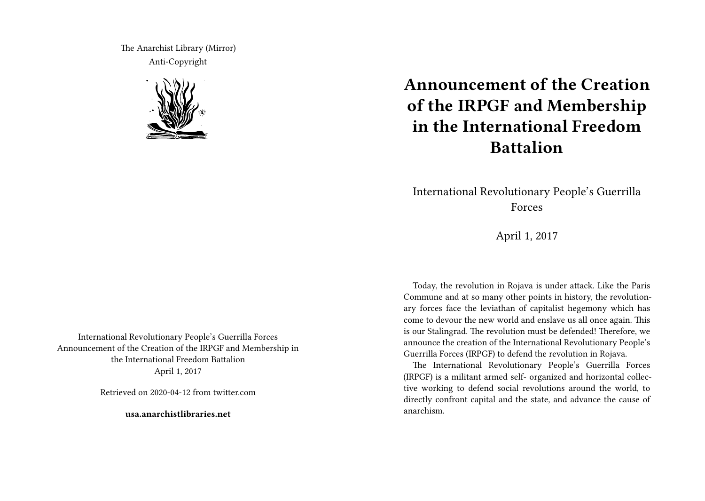The Anarchist Library (Mirror) Anti-Copyright



**Announcement of the Creation of the IRPGF and Membership in the International Freedom Battalion**

International Revolutionary People's Guerrilla Forces

April 1, 2017

Today, the revolution in Rojava is under attack. Like the Paris Commune and at so many other points in history, the revolutionary forces face the leviathan of capitalist hegemony which has come to devour the new world and enslave us all once again. This is our Stalingrad. The revolution must be defended! Therefore, we announce the creation of the International Revolutionary People's Guerrilla Forces (IRPGF) to defend the revolution in Rojava.

The International Revolutionary People's Guerrilla Forces (IRPGF) is a militant armed self- organized and horizontal collective working to defend social revolutions around the world, to directly confront capital and the state, and advance the cause of anarchism.

International Revolutionary People's Guerrilla Forces Announcement of the Creation of the IRPGF and Membership in the International Freedom Battalion April 1, 2017

Retrieved on 2020-04-12 from twitter.com

**usa.anarchistlibraries.net**